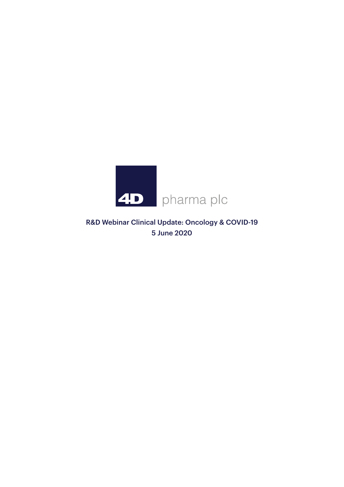

R&D Webinar Clinical Update: Oncology & COVID-19 5 June 2020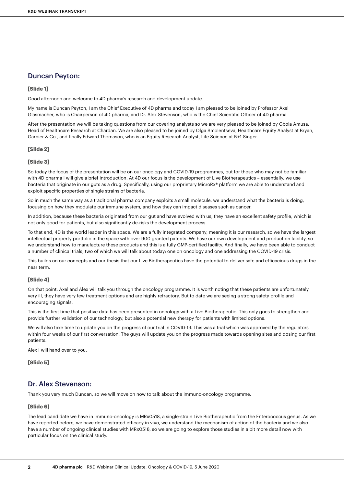## Duncan Peyton:

#### **[Slide 1]**

Good afternoon and welcome to 4D pharma's research and development update.

My name is Duncan Peyton, I am the Chief Executive of 4D pharma and today I am pleased to be joined by Professor Axel Glasmacher, who is Chairperson of 4D pharma, and Dr. Alex Stevenson, who is the Chief Scientific Officer of 4D pharma

After the presentation we will be taking questions from our covering analysts so we are very pleased to be joined by Gbola Amusa, Head of Healthcare Research at Chardan. We are also pleased to be joined by Olga Smolentseva, Healthcare Equity Analyst at Bryan, Garnier & Co., and finally Edward Thomason, who is an Equity Research Analyst, Life Science at N+1 Singer.

#### **[Slide 2]**

#### **[Slide 3]**

So today the focus of the presentation will be on our oncology and COVID-19 programmes, but for those who may not be familiar with 4D pharma I will give a brief introduction. At 4D our focus is the development of Live Biotherapeutics – essentially, we use bacteria that originate in our guts as a drug. Specifically, using our proprietary MicroRx® platform we are able to understand and exploit specific properties of single strains of bacteria.

So in much the same way as a traditional pharma company exploits a small molecule, we understand what the bacteria is doing, focusing on how they modulate our immune system, and how they can impact diseases such as cancer.

In addition, because these bacteria originated from our gut and have evolved with us, they have an excellent safety profile, which is not only good for patients, but also significantly de-risks the development process.

To that end, 4D is the world leader in this space. We are a fully integrated company, meaning it is our research, so we have the largest intellectual property portfolio in the space with over 900 granted patents. We have our own development and production facility, so we understand how to manufacture these products and this is a fully GMP-certified facility. And finally, we have been able to conduct a number of clinical trials, two of which we will talk about today: one on oncology and one addressing the COVID-19 crisis.

This builds on our concepts and our thesis that our Live Biotherapeutics have the potential to deliver safe and efficacious drugs in the near term.

#### **[Slide 4]**

On that point, Axel and Alex will talk you through the oncology programme. It is worth noting that these patients are unfortunately very ill, they have very few treatment options and are highly refractory. But to date we are seeing a strong safety profile and encouraging signals.

This is the first time that positive data has been presented in oncology with a Live Biotherapeutic. This only goes to strengthen and provide further validation of our technology, but also a potential new therapy for patients with limited options.

We will also take time to update you on the progress of our trial in COVID-19. This was a trial which was approved by the regulators within four weeks of our first conversation. The guys will update you on the progress made towards opening sites and dosing our first patients.

Alex I will hand over to you.

**[Slide 5]**

### Dr. Alex Stevenson:

Thank you very much Duncan, so we will move on now to talk about the immuno-oncology programme.

#### **[Slide 6]**

The lead candidate we have in immuno-oncology is MRx0518, a single-strain Live Biotherapeutic from the Enterococcus genus. As we have reported before, we have demonstrated efficacy in vivo, we understand the mechanism of action of the bacteria and we also have a number of ongoing clinical studies with MRx0518, so we are going to explore those studies in a bit more detail now with particular focus on the clinical study.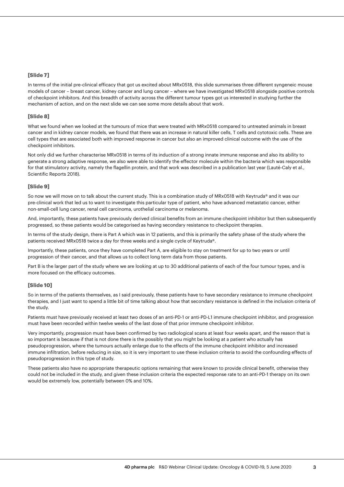#### **[Slide 7]**

In terms of the initial pre-clinical efficacy that got us excited about MRx0518, this slide summarises three different syngeneic mouse models of cancer – breast cancer, kidney cancer and lung cancer – where we have investigated MRx0518 alongside positive controls of checkpoint inhibitors. And this breadth of activity across the different tumour types got us interested in studying further the mechanism of action, and on the next slide we can see some more details about that work.

#### **[Slide 8]**

What we found when we looked at the tumours of mice that were treated with MRx0518 compared to untreated animals in breast cancer and in kidney cancer models, we found that there was an increase in natural killer cells, T cells and cytotoxic cells. These are cell types that are associated both with improved response in cancer but also an improved clinical outcome with the use of the checkpoint inhibitors.

Not only did we further characterise MRx0518 in terms of its induction of a strong innate immune response and also its ability to generate a strong adaptive response, we also were able to identify the effector molecule within the bacteria which was responsible for that stimulatory activity, namely the flagellin protein, and that work was described in a publication last year (Lauté-Caly et al., Scientific Reports 2018).

#### **[Slide 9]**

So now we will move on to talk about the current study. This is a combination study of MRx0518 with Keytruda® and it was our pre-clinical work that led us to want to investigate this particular type of patient, who have advanced metastatic cancer, either non-small-cell lung cancer, renal cell carcinoma, urothelial carcinoma or melanoma.

And, importantly, these patients have previously derived clinical benefits from an immune checkpoint inhibitor but then subsequently progressed, so these patients would be categorised as having secondary resistance to checkpoint therapies.

In terms of the study design, there is Part A which was in 12 patients, and this is primarily the safety phase of the study where the patients received MRx0518 twice a day for three weeks and a single cycle of Keytruda®.

Importantly, these patients, once they have completed Part A, are eligible to stay on treatment for up to two years or until progression of their cancer, and that allows us to collect long term data from those patients.

Part B is the larger part of the study where we are looking at up to 30 additional patients of each of the four tumour types, and is more focused on the efficacy outcomes.

#### **[Slide 10]**

So in terms of the patients themselves, as I said previously, these patients have to have secondary resistance to immune checkpoint therapies, and I just want to spend a little bit of time talking about how that secondary resistance is defined in the inclusion criteria of the study.

Patients must have previously received at least two doses of an anti-PD-1 or anti-PD-L1 immune checkpoint inhibitor, and progression must have been recorded within twelve weeks of the last dose of that prior immune checkpoint inhibitor.

Very importantly, progression must have been confirmed by two radiological scans at least four weeks apart, and the reason that is so important is because if that is not done there is the possibly that you might be looking at a patient who actually has pseudoprogression, where the tumours actually enlarge due to the effects of the immune checkpoint inhibitor and increased immune infiltration, before reducing in size, so it is very important to use these inclusion criteria to avoid the confounding effects of pseudoprogression in this type of study.

These patients also have no appropriate therapeutic options remaining that were known to provide clinical benefit, otherwise they could not be included in the study, and given these inclusion criteria the expected response rate to an anti-PD-1 therapy on its own would be extremely low, potentially between 0% and 10%.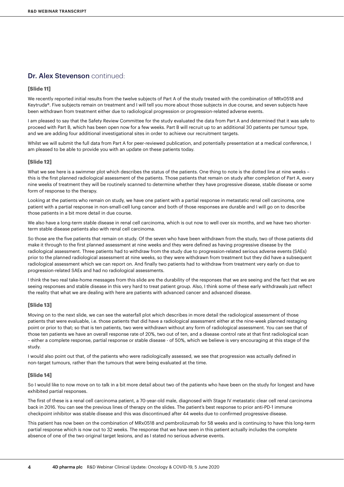# Dr. Alex Stevenson continued:

#### **[Slide 11]**

We recently reported initial results from the twelve subjects of Part A of the study treated with the combination of MRx0518 and Keytruda®. Five subjects remain on treatment and I will tell you more about those subjects in due course, and seven subjects have been withdrawn from treatment either due to radiological progression or progression-related adverse events.

I am pleased to say that the Safety Review Committee for the study evaluated the data from Part A and determined that it was safe to proceed with Part B, which has been open now for a few weeks. Part B will recruit up to an additional 30 patients per tumour type, and we are adding four additional investigational sites in order to achieve our recruitment targets.

Whilst we will submit the full data from Part A for peer-reviewed publication, and potentially presentation at a medical conference, I am pleased to be able to provide you with an update on these patients today.

#### **[Slide 12]**

What we see here is a swimmer plot which describes the status of the patients. One thing to note is the dotted line at nine weeks – this is the first planned radiological assessment of the patients. Those patients that remain on study after completion of Part A, every nine weeks of treatment they will be routinely scanned to determine whether they have progressive disease, stable disease or some form of response to the therapy.

Looking at the patients who remain on study, we have one patient with a partial response in metastatic renal cell carcinoma, one patient with a partial response in non-small-cell lung cancer and both of those responses are durable and I will go on to describe those patients in a bit more detail in due course.

We also have a long-term stable disease in renal cell carcinoma, which is out now to well over six months, and we have two shorterterm stable disease patients also with renal cell carcinoma.

So those are the five patients that remain on study. Of the seven who have been withdrawn from the study, two of those patients did make it through to the first planned assessment at nine weeks and they were defined as having progressive disease by the radiological assessment. Three patients had to withdraw from the study due to progression-related serious adverse events (SAEs) prior to the planned radiological assessment at nine weeks, so they were withdrawn from treatment but they did have a subsequent radiological assessment which we can report on. And finally two patients had to withdraw from treatment very early on due to progression-related SAEs and had no radiological assessments.

I think the two real take-home messages from this slide are the durability of the responses that we are seeing and the fact that we are seeing responses and stable disease in this very hard to treat patient group. Also, I think some of these early withdrawals just reflect the reality that what we are dealing with here are patients with advanced cancer and advanced disease.

#### **[Slide 13]**

Moving on to the next slide, we can see the waterfall plot which describes in more detail the radiological assessment of those patients that were evaluable, i.e. those patients that did have a radiological assessment either at the nine-week planned restaging point or prior to that; so that is ten patients, two were withdrawn without any form of radiological assessment. You can see that of those ten patients we have an overall response rate of 20%, two out of ten, and a disease control rate at that first radiological scan – either a complete response, partial response or stable disease - of 50%, which we believe is very encouraging at this stage of the study.

I would also point out that, of the patients who were radiologically assessed, we see that progression was actually defined in non-target tumours, rather than the tumours that were being evaluated at the time.

#### **[Slide 14]**

So I would like to now move on to talk in a bit more detail about two of the patients who have been on the study for longest and have exhibited partial responses.

The first of these is a renal cell carcinoma patient, a 70-year-old male, diagnosed with Stage IV metastatic clear cell renal carcinoma back in 2016. You can see the previous lines of therapy on the slides. The patient's best response to prior anti-PD-1 immune checkpoint inhibitor was stable disease and this was discontinued after 44 weeks due to confirmed progressive disease.

This patient has now been on the combination of MRx0518 and pembrolizumab for 58 weeks and is continuing to have this long-term partial response which is now out to 32 weeks. The response that we have seen in this patient actually includes the complete absence of one of the two original target lesions, and as I stated no serious adverse events.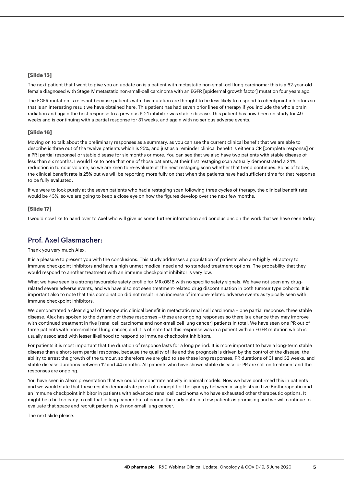#### **[Slide 15]**

The next patient that I want to give you an update on is a patient with metastatic non-small-cell lung carcinoma; this is a 62-year-old female diagnosed with Stage IV metastatic non-small-cell carcinoma with an EGFR [epidermal growth factor] mutation four years ago.

The EGFR mutation is relevant because patients with this mutation are thought to be less likely to respond to checkpoint inhibitors so that is an interesting result we have obtained here. This patient has had seven prior lines of therapy if you include the whole brain radiation and again the best response to a previous PD-1 inhibitor was stable disease. This patient has now been on study for 49 weeks and is continuing with a partial response for 31 weeks, and again with no serious adverse events.

#### **[Slide 16]**

Moving on to talk about the preliminary responses as a summary, as you can see the current clinical benefit that we are able to describe is three out of the twelve patients which is 25%, and just as a reminder clinical benefit is either a CR [complete response] or a PR [partial response] or stable disease for six months or more. You can see that we also have two patients with stable disease of less than six months. I would like to note that one of those patients, at their first restaging scan actually demonstrated a 24% reduction in tumour volume, so we are keen to re-evaluate at the next restaging scan whether that trend continues. So as of today, the clinical benefit rate is 25% but we will be reporting more fully on that when the patients have had sufficient time for that response to be fully evaluated.

If we were to look purely at the seven patients who had a restaging scan following three cycles of therapy, the clinical benefit rate would be 43%, so we are going to keep a close eye on how the figures develop over the next few months.

#### **[Slide 17]**

I would now like to hand over to Axel who will give us some further information and conclusions on the work that we have seen today.

# Prof. Axel Glasmacher:

#### Thank you very much Alex.

It is a pleasure to present you with the conclusions. This study addresses a population of patients who are highly refractory to immune checkpoint inhibitors and have a high unmet medical need and no standard treatment options. The probability that they would respond to another treatment with an immune checkpoint inhibitor is very low.

What we have seen is a strong favourable safety profile for MRx0518 with no specific safety signals. We have not seen any drugrelated severe adverse events, and we have also not seen treatment-related drug discontinuation in both tumour type cohorts. It is important also to note that this combination did not result in an increase of immune-related adverse events as typically seen with immune checkpoint inhibitors.

We demonstrated a clear signal of therapeutic clinical benefit in metastatic renal cell carcinoma – one partial response, three stable disease. Alex has spoken to the dynamic of these responses – these are ongoing responses so there is a chance they may improve with continued treatment in five [renal cell carcinoma and non-small cell lung cancer] patients in total. We have seen one PR out of three patients with non-small-cell lung cancer, and it is of note that this response was in a patient with an EGFR mutation which is usually associated with lesser likelihood to respond to immune checkpoint inhibitors.

For patients it is most important that the duration of response lasts for a long period. It is more important to have a long-term stable disease than a short-term partial response, because the quality of life and the prognosis is driven by the control of the disease, the ability to arrest the growth of the tumour, so therefore we are glad to see these long responses, PR durations of 31 and 32 weeks, and stable disease durations between 12 and 44 months. All patients who have shown stable disease or PR are still on treatment and the responses are ongoing.

You have seen in Alex's presentation that we could demonstrate activity in animal models. Now we have confirmed this in patients and we would state that these results demonstrate proof of concept for the synergy between a single strain Live Biotherapeutic and an immune checkpoint inhibitor in patients with advanced renal cell carcinoma who have exhausted other therapeutic options. It might be a bit too early to call that in lung cancer but of course the early data in a few patients is promising and we will continue to evaluate that space and recruit patients with non-small lung cancer.

The next slide please.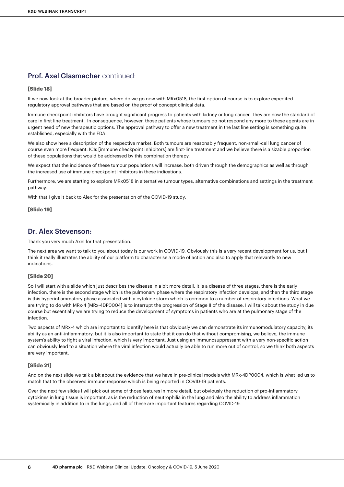# Prof. Axel Glasmacher continued:

#### **[Slide 18]**

If we now look at the broader picture, where do we go now with MRx0518, the first option of course is to explore expedited regulatory approval pathways that are based on the proof of concept clinical data.

Immune checkpoint inhibitors have brought significant progress to patients with kidney or lung cancer. They are now the standard of care in first line treatment. In consequence, however, those patients whose tumours do not respond any more to these agents are in urgent need of new therapeutic options. The approval pathway to offer a new treatment in the last line setting is something quite established, especially with the FDA.

We also show here a description of the respective market. Both tumours are reasonably frequent, non-small-cell lung cancer of course even more frequent. ICIs [immune checkpoint inhibitors] are first-line treatment and we believe there is a sizable proportion of these populations that would be addressed by this combination therapy.

We expect that the incidence of these tumour populations will increase, both driven through the demographics as well as through the increased use of immune checkpoint inhibitors in these indications.

Furthermore, we are starting to explore MRx0518 in alternative tumour types, alternative combinations and settings in the treatment pathway.

With that I give it back to Alex for the presentation of the COVID-19 study.

**[Slide 19]**

### Dr. Alex Stevenson:

Thank you very much Axel for that presentation.

The next area we want to talk to you about today is our work in COVID-19. Obviously this is a very recent development for us, but I think it really illustrates the ability of our platform to characterise a mode of action and also to apply that relevantly to new indications.

#### **[Slide 20]**

So I will start with a slide which just describes the disease in a bit more detail. It is a disease of three stages: there is the early infection, there is the second stage which is the pulmonary phase where the respiratory infection develops, and then the third stage is this hyperinflammatory phase associated with a cytokine storm which is common to a number of respiratory infections. What we are trying to do with MRx-4 [MRx-4DP0004] is to interrupt the progression of Stage II of the disease. I will talk about the study in due course but essentially we are trying to reduce the development of symptoms in patients who are at the pulmonary stage of the infection.

Two aspects of MRx-4 which are important to identify here is that obviously we can demonstrate its immunomodulatory capacity, its ability as an anti-inflammatory, but it is also important to state that it can do that without compromising, we believe, the immune system's ability to fight a viral infection, which is very important. Just using an immunosuppressant with a very non-specific action can obviously lead to a situation where the viral infection would actually be able to run more out of control, so we think both aspects are very important.

#### **[Slide 21]**

And on the next slide we talk a bit about the evidence that we have in pre-clinical models with MRx-4DP0004, which is what led us to match that to the observed immune response which is being reported in COVID-19 patients.

Over the next few slides I will pick out some of those features in more detail, but obviously the reduction of pro-inflammatory cytokines in lung tissue is important, as is the reduction of neutrophilia in the lung and also the ability to address inflammation systemically in addition to in the lungs, and all of these are important features regarding COVID-19.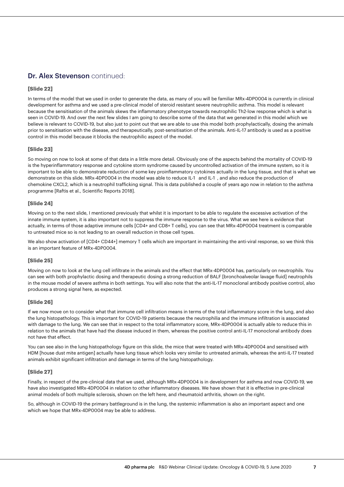# Dr. Alex Stevenson continued:

### **[Slide 22]**

In terms of the model that we used in order to generate the data, as many of you will be familiar MRx-4DP0004 is currently in clinical development for asthma and we used a pre-clinical model of steroid resistant severe neutrophilic asthma. This model is relevant because the sensitisation of the animals skews the inflammatory phenotype towards neutrophilic Th2-low response which is what is seen in COVID-19. And over the next few slides I am going to describe some of the data that we generated in this model which we believe is relevant to COVID-19, but also just to point out that we are able to use this model both prophylactically, dosing the animals prior to sensitisation with the disease, and therapeutically, post-sensitisation of the animals. Anti-IL-17 antibody is used as a positive control in this model because it blocks the neutrophilic aspect of the model.

### **[Slide 23]**

So moving on now to look at some of that data in a little more detail. Obviously one of the aspects behind the mortality of COVID-19 is the hyperinflammatory response and cytokine storm syndrome caused by uncontrolled activation of the immune system, so it is important to be able to demonstrate reduction of some key proinflammatory cytokines actually in the lung tissue, and that is what we demonstrate on this slide. MRx-4DP0004 in the model was able to reduce IL-1 and IL-1, and also reduce the production of chemokine CXCL2, which is a neutrophil trafficking signal. This is data published a couple of years ago now in relation to the asthma programme [Raftis et al., Scientific Reports 2018].

#### **[Slide 24]**

Moving on to the next slide, I mentioned previously that whilst it is important to be able to regulate the excessive activation of the innate immune system, it is also important not to suppress the immune response to the virus. What we see here is evidence that actually, in terms of those adaptive immune cells [CD4+ and CD8+ T cells], you can see that MRx-4DP0004 treatment is comparable to untreated mice so is not leading to an overall reduction in those cell types.

We also show activation of [CD4+ CD44+] memory T cells which are important in maintaining the anti-viral response, so we think this is an important feature of MRx-4DP0004.

#### **[Slide 25]**

Moving on now to look at the lung cell infiltrate in the animals and the effect that MRx-4DP0004 has, particularly on neutrophils. You can see with both prophylactic dosing and therapeutic dosing a strong reduction of BALF [bronchoalveolar lavage fluid] neutrophils in the mouse model of severe asthma in both settings. You will also note that the anti-IL-17 monoclonal antibody positive control, also produces a strong signal here, as expected.

#### **[Slide 26]**

If we now move on to consider what that immune cell infiltration means in terms of the total inflammatory score in the lung, and also the lung histopathology. This is important for COVID-19 patients because the neutrophilia and the immune infiltration is associated with damage to the lung. We can see that in respect to the total inflammatory score, MRx-4DP0004 is actually able to reduce this in relation to the animals that have had the disease induced in them, whereas the positive control anti-IL-17 monoclonal antibody does not have that effect.

You can see also in the lung histopathology figure on this slide, the mice that were treated with MRx-4DP0004 and sensitised with HDM [house dust mite antigen] actually have lung tissue which looks very similar to untreated animals, whereas the anti-IL-17 treated animals exhibit significant infiltration and damage in terms of the lung histopathology.

#### **[Slide 27]**

Finally, in respect of the pre-clinical data that we used, although MRx-4DP0004 is in development for asthma and now COVID-19, we have also investigated MRx-4DP0004 in relation to other inflammatory diseases. We have shown that it is effective in pre-clinical animal models of both multiple sclerosis, shown on the left here, and rheumatoid arthritis, shown on the right.

So, although in COVID-19 the primary battleground is in the lung, the systemic inflammation is also an important aspect and one which we hope that MRx-4DP0004 may be able to address.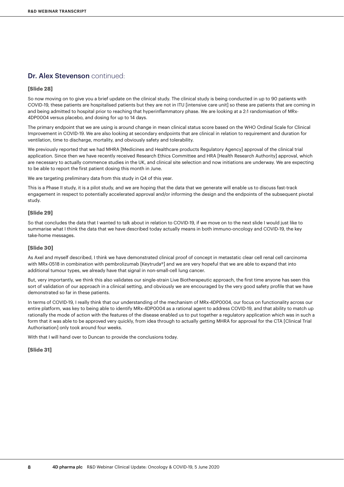# Dr. Alex Stevenson continued:

#### **[Slide 28]**

So now moving on to give you a brief update on the clinical study. The clinical study is being conducted in up to 90 patients with COVID-19, these patients are hospitalised patients but they are not in ITU [intensive care unit] so these are patients that are coming in and being admitted to hospital prior to reaching that hyperinflammatory phase. We are looking at a 2:1 randomisation of MRx-4DP0004 versus placebo, and dosing for up to 14 days.

The primary endpoint that we are using is around change in mean clinical status score based on the WHO Ordinal Scale for Clinical Improvement in COVID-19. We are also looking at secondary endpoints that are clinical in relation to requirement and duration for ventilation, time to discharge, mortality, and obviously safety and tolerability.

We previously reported that we had MHRA [Medicines and Healthcare products Regulatory Agency] approval of the clinical trial application. Since then we have recently received Research Ethics Committee and HRA [Health Research Authority] approval, which are necessary to actually commence studies in the UK, and clinical site selection and now initiations are underway. We are expecting to be able to report the first patient dosing this month in June.

We are targeting preliminary data from this study in Q4 of this year.

This is a Phase II study, it is a pilot study, and we are hoping that the data that we generate will enable us to discuss fast-track engagement in respect to potentially accelerated approval and/or informing the design and the endpoints of the subsequent pivotal study.

#### **[Slide 29]**

So that concludes the data that I wanted to talk about in relation to COVID-19, if we move on to the next slide I would just like to summarise what I think the data that we have described today actually means in both immuno-oncology and COVID-19, the key take-home messages.

#### **[Slide 30]**

As Axel and myself described, I think we have demonstrated clinical proof of concept in metastatic clear cell renal cell carcinoma with MRx-0518 in combination with pembrolizumab [Keytruda®] and we are very hopeful that we are able to expand that into additional tumour types, we already have that signal in non-small-cell lung cancer.

But, very importantly, we think this also validates our single-strain Live Biotherapeutic approach, the first time anyone has seen this sort of validation of our approach in a clinical setting, and obviously we are encouraged by the very good safety profile that we have demonstrated so far in these patients.

In terms of COVID-19, I really think that our understanding of the mechanism of MRx-4DP0004, our focus on functionality across our entire platform, was key to being able to identify MRx-4DP0004 as a rational agent to address COVID-19, and that ability to match up rationally the mode of action with the features of the disease enabled us to put together a regulatory application which was in such a form that it was able to be approved very quickly, from idea through to actually getting MHRA for approval for the CTA [Clinical Trial Authorisation] only took around four weeks.

With that I will hand over to Duncan to provide the conclusions today.

#### **[Slide 31]**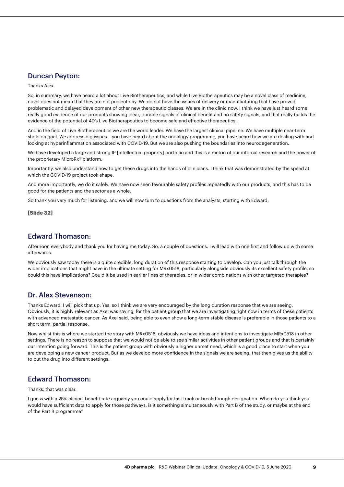# Duncan Peyton:

Thanks Alex.

So, in summary, we have heard a lot about Live Biotherapeutics, and while Live Biotherapeutics may be a novel class of medicine, novel does not mean that they are not present day. We do not have the issues of delivery or manufacturing that have proved problematic and delayed development of other new therapeutic classes. We are in the clinic now, I think we have just heard some really good evidence of our products showing clear, durable signals of clinical benefit and no safety signals, and that really builds the evidence of the potential of 4D's Live Biotherapeutics to become safe and effective therapeutics.

And in the field of Live Biotherapeutics we are the world leader. We have the largest clinical pipeline. We have multiple near-term shots on goal. We address big issues – you have heard about the oncology programme, you have heard how we are dealing with and looking at hyperinflammation associated with COVID-19. But we are also pushing the boundaries into neurodegeneration.

We have developed a large and strong IP [intellectual property] portfolio and this is a metric of our internal research and the power of the proprietary MicroRx® platform.

Importantly, we also understand how to get these drugs into the hands of clinicians. I think that was demonstrated by the speed at which the COVID-19 project took shape.

And more importantly, we do it safely. We have now seen favourable safety profiles repeatedly with our products, and this has to be good for the patients and the sector as a whole.

So thank you very much for listening, and we will now turn to questions from the analysts, starting with Edward.

#### **[Slide 32]**

### Edward Thomason:

Afternoon everybody and thank you for having me today. So, a couple of questions. I will lead with one first and follow up with some afterwards.

We obviously saw today there is a quite credible, long duration of this response starting to develop. Can you just talk through the wider implications that might have in the ultimate setting for MRx0518, particularly alongside obviously its excellent safety profile, so could this have implications? Could it be used in earlier lines of therapies, or in wider combinations with other targeted therapies?

## Dr. Alex Stevenson:

Thanks Edward, I will pick that up. Yes, so I think we are very encouraged by the long duration response that we are seeing. Obviously, it is highly relevant as Axel was saying, for the patient group that we are investigating right now in terms of these patients with advanced metastatic cancer. As Axel said, being able to even show a long-term stable disease is preferable in those patients to a short term, partial response.

Now whilst this is where we started the story with MRx0518, obviously we have ideas and intentions to investigate MRx0518 in other settings. There is no reason to suppose that we would not be able to see similar activities in other patient groups and that is certainly our intention going forward. This is the patient group with obviously a higher unmet need, which is a good place to start when you are developing a new cancer product. But as we develop more confidence in the signals we are seeing, that then gives us the ability to put the drug into different settings.

# Edward Thomason:

Thanks, that was clear.

I guess with a 25% clinical benefit rate arguably you could apply for fast track or breakthrough designation. When do you think you would have sufficient data to apply for those pathways, is it something simultaneously with Part B of the study, or maybe at the end of the Part B programme?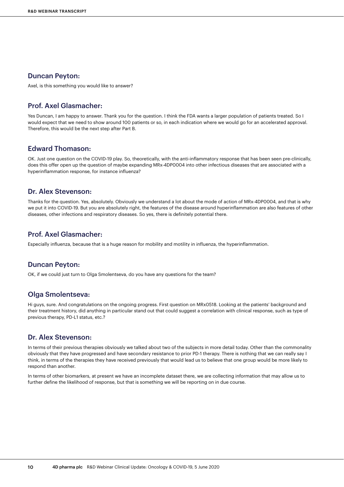### Duncan Peyton:

Axel, is this something you would like to answer?

### Prof. Axel Glasmacher:

Yes Duncan, I am happy to answer. Thank you for the question. I think the FDA wants a larger population of patients treated. So I would expect that we need to show around 100 patients or so, in each indication where we would go for an accelerated approval. Therefore, this would be the next step after Part B.

## Edward Thomason:

OK. Just one question on the COVID-19 play. So, theoretically, with the anti-inflammatory response that has been seen pre-clinically, does this offer open up the question of maybe expanding MRx-4DP0004 into other infectious diseases that are associated with a hyperinflammation response, for instance influenza?

### Dr. Alex Stevenson:

Thanks for the question. Yes, absolutely. Obviously we understand a lot about the mode of action of MRx-4DP0004, and that is why we put it into COVID-19. But you are absolutely right, the features of the disease around hyperinflammation are also features of other diseases, other infections and respiratory diseases. So yes, there is definitely potential there.

### Prof. Axel Glasmacher:

Especially influenza, because that is a huge reason for mobility and motility in influenza, the hyperinflammation.

### Duncan Peyton:

OK, if we could just turn to Olga Smolentseva, do you have any questions for the team?

### Olga Smolentseva:

Hi guys, sure. And congratulations on the ongoing progress. First question on MRx0518. Looking at the patients' background and their treatment history, did anything in particular stand out that could suggest a correlation with clinical response, such as type of previous therapy, PD-L1 status, etc.?

### Dr. Alex Stevenson:

In terms of their previous therapies obviously we talked about two of the subjects in more detail today. Other than the commonality obviously that they have progressed and have secondary resistance to prior PD-1 therapy. There is nothing that we can really say I think, in terms of the therapies they have received previously that would lead us to believe that one group would be more likely to respond than another.

In terms of other biomarkers, at present we have an incomplete dataset there, we are collecting information that may allow us to further define the likelihood of response, but that is something we will be reporting on in due course.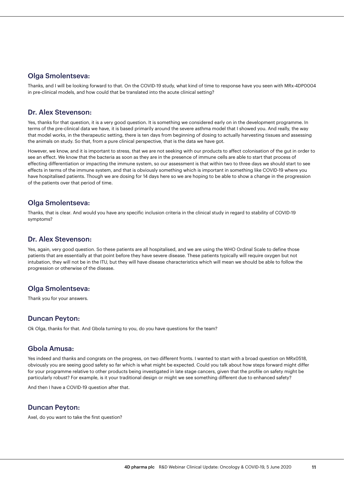### Olga Smolentseva:

Thanks, and I will be looking forward to that. On the COVID-19 study, what kind of time to response have you seen with MRx-4DP0004 in pre-clinical models, and how could that be translated into the acute clinical setting?

### Dr. Alex Stevenson:

Yes, thanks for that question, it is a very good question. It is something we considered early on in the development programme. In terms of the pre-clinical data we have, it is based primarily around the severe asthma model that I showed you. And really, the way that model works, in the therapeutic setting, there is ten days from beginning of dosing to actually harvesting tissues and assessing the animals on study. So that, from a pure clinical perspective, that is the data we have got.

However, we know, and it is important to stress, that we are not seeking with our products to affect colonisation of the gut in order to see an effect. We know that the bacteria as soon as they are in the presence of immune cells are able to start that process of effecting differentiation or impacting the immune system, so our assessment is that within two to three days we should start to see effects in terms of the immune system, and that is obviously something which is important in something like COVID-19 where you have hospitalised patients. Though we are dosing for 14 days here so we are hoping to be able to show a change in the progression of the patients over that period of time.

## Olga Smolentseva:

Thanks, that is clear. And would you have any specific inclusion criteria in the clinical study in regard to stability of COVID-19 symptoms?

## Dr. Alex Stevenson:

Yes, again, very good question. So these patients are all hospitalised, and we are using the WHO Ordinal Scale to define those patients that are essentially at that point before they have severe disease. These patients typically will require oxygen but not intubation, they will not be in the ITU, but they will have disease characteristics which will mean we should be able to follow the progression or otherwise of the disease.

# Olga Smolentseva:

Thank you for your answers.

## Duncan Peyton:

Ok Olga, thanks for that. And Gbola turning to you, do you have questions for the team?

## Gbola Amusa:

Yes indeed and thanks and congrats on the progress, on two different fronts. I wanted to start with a broad question on MRx0518, obviously you are seeing good safety so far which is what might be expected. Could you talk about how steps forward might differ for your programme relative to other products being investigated in late stage cancers, given that the profile on safety might be particularly robust? For example, is it your traditional design or might we see something different due to enhanced safety?

And then I have a COVID-19 question after that.

## Duncan Peyton:

Axel, do you want to take the first question?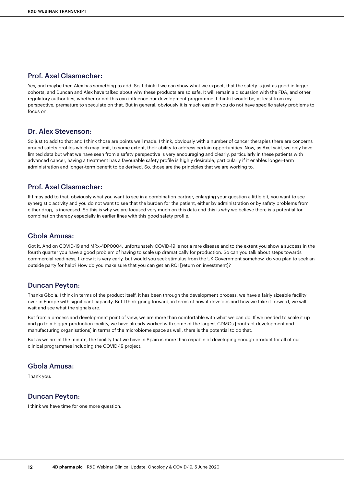# Prof. Axel Glasmacher:

Yes, and maybe then Alex has something to add. So, I think if we can show what we expect, that the safety is just as good in larger cohorts, and Duncan and Alex have talked about why these products are so safe. It will remain a discussion with the FDA, and other regulatory authorities, whether or not this can influence our development programme. I think it would be, at least from my perspective, premature to speculate on that. But in general, obviously it is much easier if you do not have specific safety problems to focus on.

### Dr. Alex Stevenson:

So just to add to that and I think those are points well made. I think, obviously with a number of cancer therapies there are concerns around safety profiles which may limit, to some extent, their ability to address certain opportunities. Now, as Axel said, we only have limited data but what we have seen from a safety perspective is very encouraging and clearly, particularly in these patients with advanced cancer, having a treatment has a favourable safety profile is highly desirable, particularly if it enables longer-term administration and longer-term benefit to be derived. So, those are the principles that we are working to.

### Prof. Axel Glasmacher:

If I may add to that, obviously what you want to see in a combination partner, enlarging your question a little bit, you want to see synergistic activity and you do not want to see that the burden for the patient, either by administration or by safety problems from either drug, is increased. So this is why we are focused very much on this data and this is why we believe there is a potential for combination therapy especially in earlier lines with this good safety profile.

### Gbola Amusa:

Got it. And on COVID-19 and MRx-4DP0004, unfortunately COVID-19 is not a rare disease and to the extent you show a success in the fourth quarter you have a good problem of having to scale up dramatically for production. So can you talk about steps towards commercial readiness, I know it is very early, but would you seek stimulus from the UK Government somehow, do you plan to seek an outside party for help? How do you make sure that you can get an ROI [return on investment]?

### Duncan Peyton:

Thanks Gbola. I think in terms of the product itself, it has been through the development process, we have a fairly sizeable facility over in Europe with significant capacity. But I think going forward, in terms of how it develops and how we take it forward, we will wait and see what the signals are.

But from a process and development point of view, we are more than comfortable with what we can do. If we needed to scale it up and go to a bigger production facility, we have already worked with some of the largest CDMOs [contract development and manufacturing organisations] in terms of the microbiome space as well, there is the potential to do that.

But as we are at the minute, the facility that we have in Spain is more than capable of developing enough product for all of our clinical programmes including the COVID-19 project.

### Gbola Amusa:

Thank you.

### Duncan Peyton:

I think we have time for one more question.